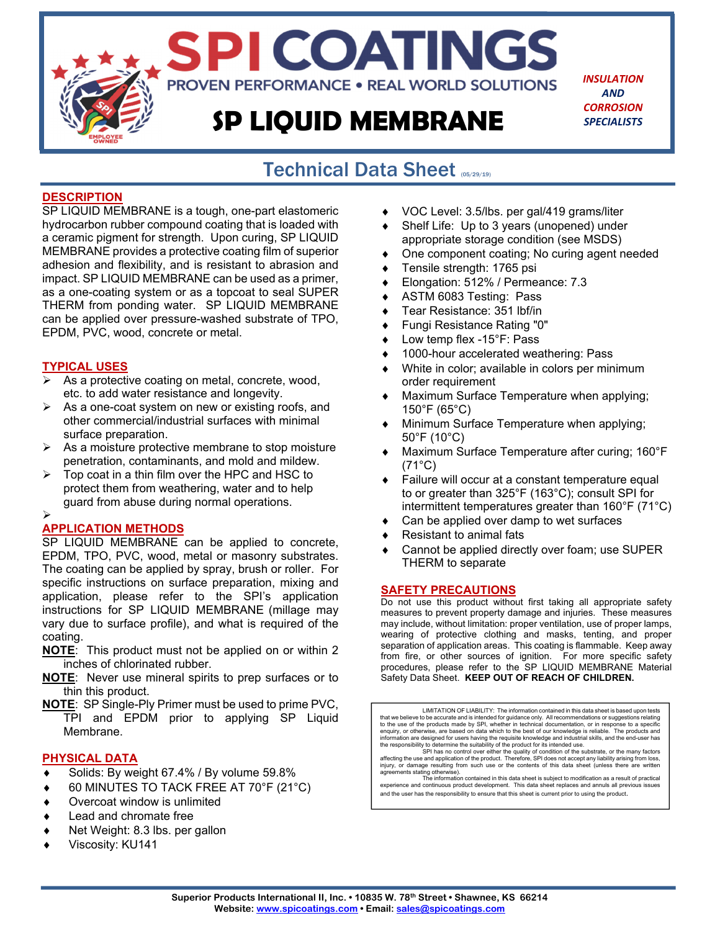# **SP LIQUID MEMBRANE**

**PROVEN PERFORMANCE . REAL WORLD SOLUTIONS** 

SPI COATINGS

*INSULATION AND CORROSION SPECIALISTS*

### Technical Data Sheet (05/29/19) j

### **DESCRIPTION**

SP LIQUID MEMBRANE is a tough, one-part elastomeric hydrocarbon rubber compound coating that is loaded with a ceramic pigment for strength. Upon curing, SP LIQUID MEMBRANE provides a protective coating film of superior adhesion and flexibility, and is resistant to abrasion and impact. SP LIQUID MEMBRANE can be used as a primer, as a one-coating system or as a topcoat to seal SUPER THERM from ponding water. SP LIQUID MEMBRANE can be applied over pressure-washed substrate of TPO, EPDM, PVC, wood, concrete or metal.

### **TYPICAL USES**

- As a protective coating on metal, concrete, wood, etc. to add water resistance and longevity.
- $\triangleright$  As a one-coat system on new or existing roofs, and other commercial/industrial surfaces with minimal surface preparation.
- $\triangleright$  As a moisture protective membrane to stop moisture penetration, contaminants, and mold and mildew.
- $\triangleright$  Top coat in a thin film over the HPC and HSC to protect them from weathering, water and to help guard from abuse during normal operations.

### $\blacktriangleright$

### **APPLICATION METHODS**

SP LIQUID MEMBRANE can be applied to concrete, EPDM, TPO, PVC, wood, metal or masonry substrates. The coating can be applied by spray, brush or roller. For specific instructions on surface preparation, mixing and application, please refer to the SPI's application instructions for SP LIQUID MEMBRANE (millage may vary due to surface profile), and what is required of the coating.

- **NOTE**: This product must not be applied on or within 2 inches of chlorinated rubber.
- **NOTE**: Never use mineral spirits to prep surfaces or to thin this product.
- **NOTE**: SP Single-Ply Primer must be used to prime PVC, TPI and EPDM prior to applying SP Liquid Membrane.

### **PHYSICAL DATA**

- Solids: By weight 67.4% / By volume 59.8%
- 60 MINUTES TO TACK FREE AT 70°F (21°C)
- Overcoat window is unlimited
- Lead and chromate free
- Net Weight: 8.3 lbs. per gallon
- Viscosity: KU141
- ◆ VOC Level: 3.5/lbs. per gal/419 grams/liter
- Shelf Life: Up to 3 years (unopened) under appropriate storage condition (see MSDS)
- One component coating; No curing agent needed
- ◆ Tensile strength: 1765 psi
- Elongation: 512% / Permeance: 7.3
- ◆ ASTM 6083 Testing: Pass
- ◆ Tear Resistance: 351 lbf/in
- Fungi Resistance Rating "0"
- ◆ Low temp flex -15°F: Pass
- ◆ 1000-hour accelerated weathering: Pass
- White in color; available in colors per minimum order requirement
- Maximum Surface Temperature when applying; 150°F (65°C)
- Minimum Surface Temperature when applying; 50°F (10°C)
- Maximum Surface Temperature after curing; 160°F (71°C)
- Failure will occur at a constant temperature equal to or greater than 325°F (163°C); consult SPI for intermittent temperatures greater than 160°F (71°C)
- Can be applied over damp to wet surfaces
- Resistant to animal fats
- Cannot be applied directly over foam; use SUPER THERM to separate

#### **SAFETY PRECAUTIONS**

Do not use this product without first taking all appropriate safety measures to prevent property damage and injuries. These measures may include, without limitation: proper ventilation, use of proper lamps, wearing of protective clothing and masks, tenting, and proper separation of application areas. This coating is flammable. Keep away from fire, or other sources of ignition. For more specific safety procedures, please refer to the SP LIQUID MEMBRANE Material Safety Data Sheet. **KEEP OUT OF REACH OF CHILDREN.** 

LIMITATION OF LIABILITY: The information contained in this data sheet is based upon tests that we believe to be accurate and is intended for guidance only. All recommendations or suggestions relating to the use of the products made by SPI, whether in technical documentation, or in response to a specific enquiry, or otherwise, are based on data which to the best of our knowledge is reliable. The products and<br>information are designed for users having the requisite knowledge and industrial skills, and the end-user has<br>the re

affecting the use and application of the product. Therefore, SPI does not accept any liability arising from loss, injury, or damage resulting from such use or the contents of this data sheet (unless there are written agree

and the user has the responsibility to ensure that this sheet is current prior to using the product.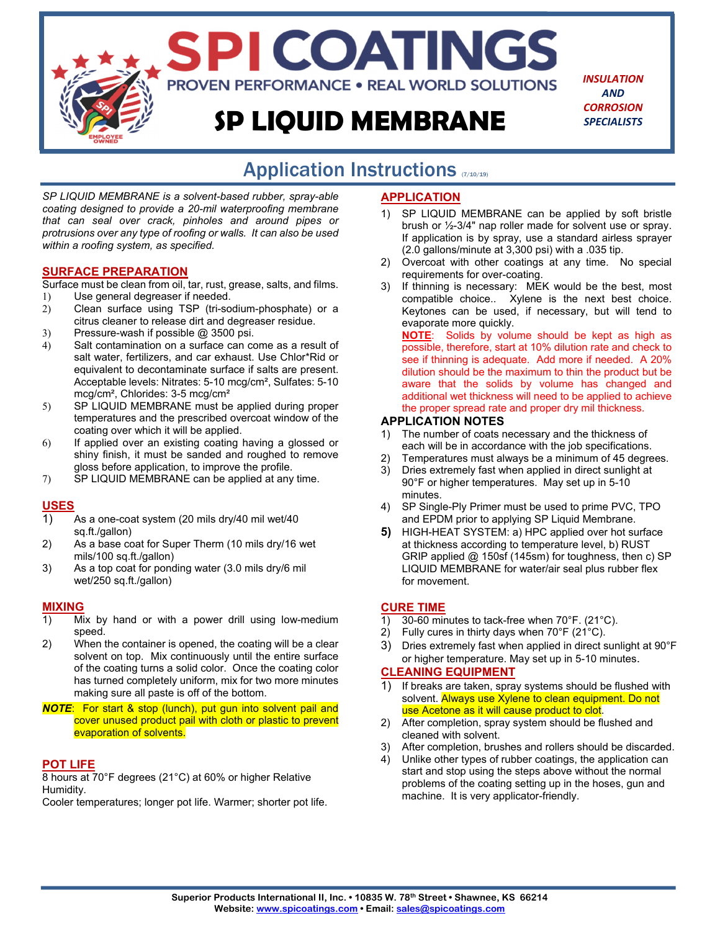# **SP LIQUID MEMBRANE**

SPI COATINGS

**PROVEN PERFORMANCE . REAL WORLD SOLUTIONS** 

*INSULATION AND CORROSION SPECIALISTS*

# Application Instructions (710/19)

*SP LIQUID MEMBRANE is a solvent-based rubber, spray-able coating designed to provide a 20-mil waterproofing membrane that can seal over crack, pinholes and around pipes or protrusions over any type of roofing or walls. It can also be used within a roofing system, as specified.*

### **SURFACE PREPARATION**

Surface must be clean from oil, tar, rust, grease, salts, and films.

- 1) Use general degreaser if needed.
- 2) Clean surface using TSP (tri-sodium-phosphate) or a citrus cleaner to release dirt and degreaser residue.
- 3) Pressure-wash if possible @ 3500 psi.
- 4) Salt contamination on a surface can come as a result of salt water, fertilizers, and car exhaust. Use Chlor\*Rid or equivalent to decontaminate surface if salts are present. Acceptable levels: Nitrates: 5-10 mcg/cm², Sulfates: 5-10 mcg/cm², Chlorides: 3-5 mcg/cm²
- 5) SP LIQUID MEMBRANE must be applied during proper temperatures and the prescribed overcoat window of the coating over which it will be applied.
- 6) If applied over an existing coating having a glossed or shiny finish, it must be sanded and roughed to remove gloss before application, to improve the profile.
- 7) SP LIQUID MEMBRANE can be applied at any time.

### **USES**

- 1) As a one-coat system (20 mils dry/40 mil wet/40 sq.ft./gallon)
- 2) As a base coat for Super Therm (10 mils dry/16 wet mils/100 sq.ft./gallon)
- 3) As a top coat for ponding water (3.0 mils dry/6 mil wet/250 sq.ft./gallon)

### **MIXING**

- 1) Mix by hand or with a power drill using low-medium speed.
- 2) When the container is opened, the coating will be a clear solvent on top. Mix continuously until the entire surface of the coating turns a solid color. Once the coating color has turned completely uniform, mix for two more minutes making sure all paste is off of the bottom.
- *NOTE*: For start & stop (lunch), put gun into solvent pail and cover unused product pail with cloth or plastic to prevent evaporation of solvents.

### **POT LIFE**

8 hours at 70°F degrees (21°C) at 60% or higher Relative Humidity.

Cooler temperatures; longer pot life. Warmer; shorter pot life.

### **APPLICATION**

- 1) SP LIQUID MEMBRANE can be applied by soft bristle brush or ½-3/4" nap roller made for solvent use or spray. If application is by spray, use a standard airless sprayer (2.0 gallons/minute at 3,300 psi) with a .035 tip.
- 2) Overcoat with other coatings at any time. No special requirements for over-coating.
- 3) If thinning is necessary: MEK would be the best, most compatible choice.. Xylene is the next best choice. Keytones can be used, if necessary, but will tend to evaporate more quickly.

**NOTE**: Solids by volume should be kept as high as possible, therefore, start at 10% dilution rate and check to see if thinning is adequate. Add more if needed. A 20% dilution should be the maximum to thin the product but be aware that the solids by volume has changed and additional wet thickness will need to be applied to achieve the proper spread rate and proper dry mil thickness.

### **APPLICATION NOTES**

- 1) The number of coats necessary and the thickness of each will be in accordance with the job specifications.
- 2) Temperatures must always be a minimum of 45 degrees.
- 3) Dries extremely fast when applied in direct sunlight at 90°F or higher temperatures. May set up in 5-10 minutes.
- 4) SP Single-Ply Primer must be used to prime PVC, TPO and EPDM prior to applying SP Liquid Membrane.
- **5)** HIGH-HEAT SYSTEM: a) HPC applied over hot surface at thickness according to temperature level, b) RUST GRIP applied @ 150sf (145sm) for toughness, then c) SP LIQUID MEMBRANE for water/air seal plus rubber flex for movement.

### **CURE TIME**

- 1) 30-60 minutes to tack-free when 70°F. (21°C).
- 2) Fully cures in thirty days when 70°F (21°C).
- 3) Dries extremely fast when applied in direct sunlight at 90°F or higher temperature. May set up in 5-10 minutes.

### **CLEANING EQUIPMENT**

- 1) If breaks are taken, spray systems should be flushed with solvent. Always use Xylene to clean equipment. Do not use Acetone as it will cause product to clot.
- 2) After completion, spray system should be flushed and cleaned with solvent.
- After completion, brushes and rollers should be discarded.
- 4) Unlike other types of rubber coatings, the application can start and stop using the steps above without the normal problems of the coating setting up in the hoses, gun and machine. It is very applicator-friendly.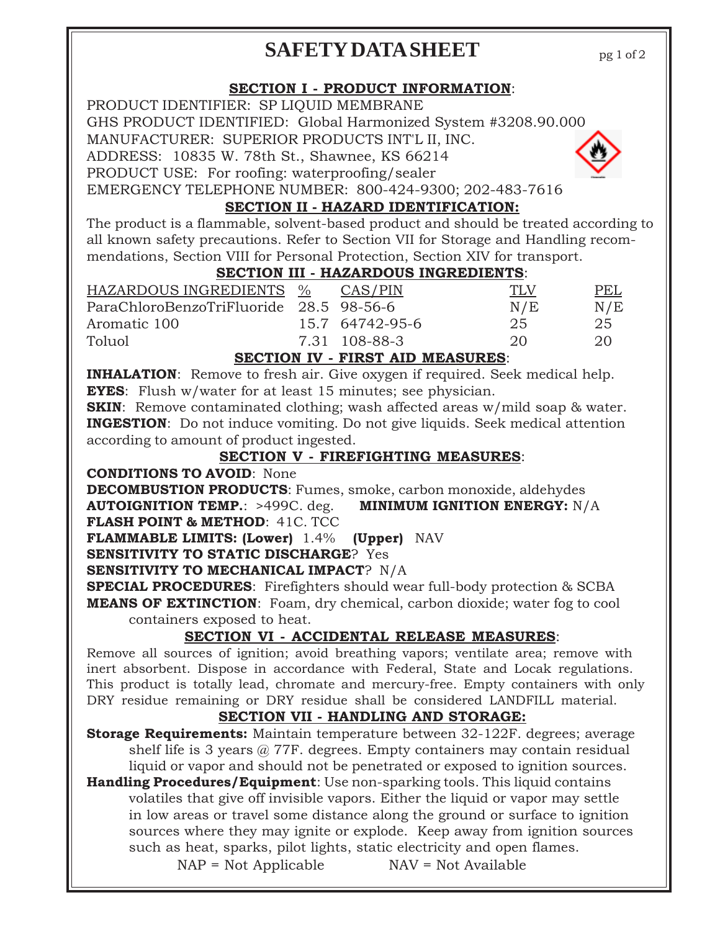# **SAFETY DATA SHEET**

pg 1 of 2

# **SECTION I - PRODUCT INFORMATION**:

PRODUCT IDENTIFIER: SP LIQUID MEMBRANE GHS PRODUCT IDENTIFIED: Global Harmonized System #3208.90.000 MANUFACTURER: SUPERIOR PRODUCTS INT'L II, INC. ADDRESS: 10835 W. 78th St., Shawnee, KS 66214 PRODUCT USE: For roofing: waterproofing/sealer



EMERGENCY TELEPHONE NUMBER: 800-424-9300; 202-483-7616

# **SECTION II - HAZARD IDENTIFICATION:**

The product is a flammable, solvent-based product and should be treated according to all known safety precautions. Refer to Section VII for Storage and Handling recommendations, Section VIII for Personal Protection, Section XIV for transport.

# **SECTION III - HAZARDOUS INGREDIENTS**:

| HAZARDOUS INGREDIENTS %                 | CAS/PIN         | <b>TLV</b> | PEL |
|-----------------------------------------|-----------------|------------|-----|
| ParaChloroBenzoTriFluoride 28.5 98-56-6 |                 | N/E        | N/E |
| Aromatic 100                            | 15.7 64742-95-6 | 25         | 25  |
| Toluol                                  | 7.31 108-88-3   | 20         | 20  |
|                                         |                 |            |     |

### **SECTION IV - FIRST AID MEASURES**:

**INHALATION**: Remove to fresh air. Give oxygen if required. Seek medical help. **EYES**: Flush w/water for at least 15 minutes; see physician.

**SKIN:** Remove contaminated clothing; wash affected areas w/mild soap & water. **INGESTION**: Do not induce vomiting. Do not give liquids. Seek medical attention according to amount of product ingested.

# **SECTION V - FIREFIGHTING MEASURES**:

**CONDITIONS TO AVOID**: None

**DECOMBUSTION PRODUCTS**: Fumes, smoke, carbon monoxide, aldehydes **AUTOIGNITION TEMP.**: >499C. deg. **MINIMUM IGNITION ENERGY:** N/A

**FLASH POINT & METHOD**: 41C. TCC

**FLAMMABLE LIMITS: (Lower)** 1.4% **(Upper)** NAV

**SENSITIVITY TO STATIC DISCHARGE**? Yes

**SENSITIVITY TO MECHANICAL IMPACT**? N/A

**SPECIAL PROCEDURES**: Firefighters should wear full-body protection & SCBA **MEANS OF EXTINCTION**: Foam, dry chemical, carbon dioxide; water fog to cool containers exposed to heat.

# **SECTION VI - ACCIDENTAL RELEASE MEASURES**:

Remove all sources of ignition; avoid breathing vapors; ventilate area; remove with inert absorbent. Dispose in accordance with Federal, State and Locak regulations. This product is totally lead, chromate and mercury-free. Empty containers with only DRY residue remaining or DRY residue shall be considered LANDFILL material.

# **SECTION VII - HANDLING AND STORAGE:**

**Storage Requirements:** Maintain temperature between 32-122F. degrees; average shelf life is 3 years  $\omega$  77F. degrees. Empty containers may contain residual liquid or vapor and should not be penetrated or exposed to ignition sources.

**Handling Procedures/Equipment**: Use non-sparking tools. This liquid contains volatiles that give off invisible vapors. Either the liquid or vapor may settle in low areas or travel some distance along the ground or surface to ignition sources where they may ignite or explode. Keep away from ignition sources such as heat, sparks, pilot lights, static electricity and open flames.

 $NAP = Not Applicable$   $NAV = Not Available$